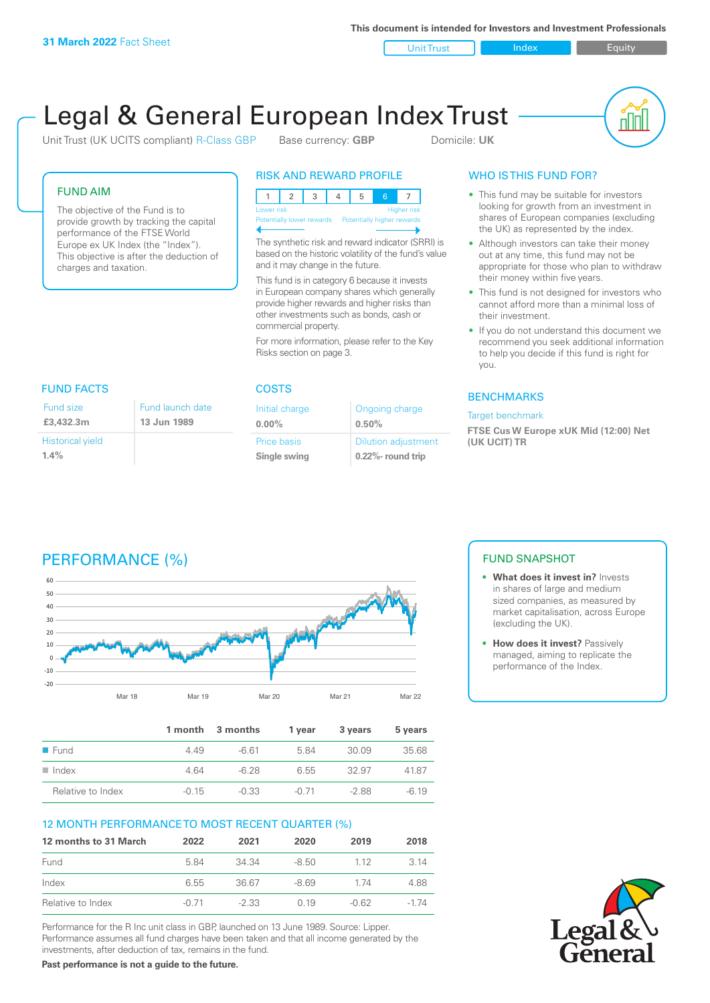**This document is intended for Investors and Investment Professionals**

Unit Trust Index I Equity

# Legal & General European Index Trust

Unit Trust (UK UCITS compliant) R-Class GBP Base currency: **GBP** Domicile: UK



#### FUND AIM

The objective of the Fund is to provide growth by tracking the capital performance of the FTSE World Europe ex UK Index (the "Index"). This objective is after the deduction of charges and taxation.

#### RISK AND REWARD PROFILE

| Lower risk                |  |  |  |  |                            | <b>Higher risk</b> |
|---------------------------|--|--|--|--|----------------------------|--------------------|
| Potentially lower rewards |  |  |  |  | Potentially higher rewards |                    |
|                           |  |  |  |  |                            |                    |

The synthetic risk and reward indicator (SRRI) is based on the historic volatility of the fund's value and it may change in the future.

This fund is in category 6 because it invests in European company shares which generally provide higher rewards and higher risks than other investments such as bonds, cash or commercial property.

For more information, please refer to the Key Risks section on page 3.

### FUND FACTS COSTS

| Fund size                       | Fund launch date |
|---------------------------------|------------------|
| £3,432.3m                       | 13 Jun 1989      |
| <b>Historical yield</b><br>1.4% |                  |

| Initial charge | Ongoing charge             |
|----------------|----------------------------|
| $0.00\%$       | 0.50%                      |
| Price basis    | <b>Dilution adjustment</b> |
| Single swing   | 0.22%- round trip          |

### WHO IS THIS FUND FOR?

- This fund may be suitable for investors looking for growth from an investment in shares of European companies (excluding the UK) as represented by the index.
- Although investors can take their money out at any time, this fund may not be appropriate for those who plan to withdraw their money within five years.
- This fund is not designed for investors who cannot afford more than a minimal loss of their investment.
- If you do not understand this document we recommend you seek additional information to help you decide if this fund is right for you.

#### **BENCHMARKS**

#### Target benchmark

**FTSE Cus W Europe xUK Mid (12:00) Net (UK UCIT) TR**

# PERFORMANCE (%)



|                      |         | 1 month 3 months | 1 vear  | 3 years | 5 years |
|----------------------|---------|------------------|---------|---------|---------|
| $\blacksquare$ Fund  | 4 4 9   | -6.61            | 584     | 30.09   | 35.68   |
| $\blacksquare$ Index | 4.64    | $-6.28$          | 6.55    | -32.97  | 4187    |
| Relative to Index    | $-0.15$ | $-0.33$          | $-0.71$ | -2.88   | $-6.19$ |

#### 12 MONTH PERFORMANCE TO MOST RECENT QUARTER (%)

| 12 months to 31 March | 2022    | 2021    | 2020   | 2019    | 2018     |
|-----------------------|---------|---------|--------|---------|----------|
| Fund                  | 584     | 34 34   | -8.50  | 1 1 2   | 3.14     |
| Index                 | 6.55    | 36.67   | $-869$ | 174     | 4.88     |
| Relative to Index     | $-0.71$ | $-2.33$ | O 19   | $-0.62$ | $-1\,74$ |

Performance for the R Inc unit class in GBP, launched on 13 June 1989. Source: Lipper. Performance assumes all fund charges have been taken and that all income generated by the investments, after deduction of tax, remains in the fund.

**Past performance is not a guide to the future.**

#### FUND SNAPSHOT

- **• What does it invest in?** Invests in shares of large and medium sized companies, as measured by market capitalisation, across Europe (excluding the UK).
- **• How does it invest?** Passively managed, aiming to replicate the performance of the Index.

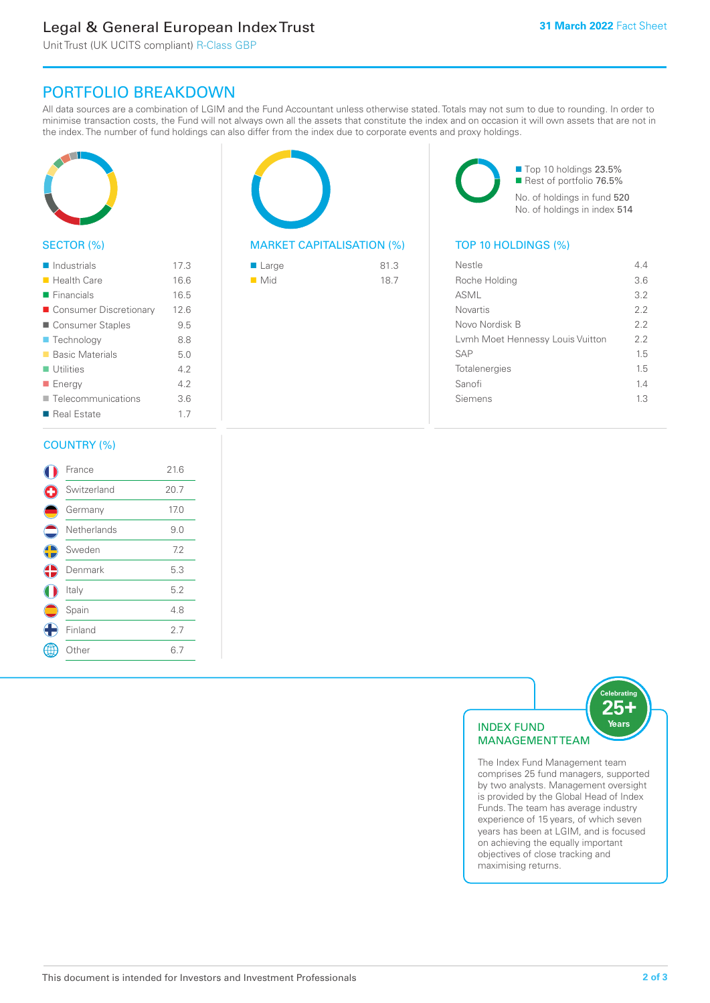# Legal & General European Index Trust

Unit Trust (UK UCITS compliant) R-Class GBP

## PORTFOLIO BREAKDOWN

All data sources are a combination of LGIM and the Fund Accountant unless otherwise stated. Totals may not sum to due to rounding. In order to minimise transaction costs, the Fund will not always own all the assets that constitute the index and on occasion it will own assets that are not in the index. The number of fund holdings can also differ from the index due to corporate events and proxy holdings.



#### SECTOR (%)

| $\blacksquare$ Industrials | 17.3 |
|----------------------------|------|
| ■ Health Care              | 16.6 |
| $\blacksquare$ Financials  | 16.5 |
| Consumer Discretionary     | 12.6 |
| ■ Consumer Staples         | 9.5  |
| ■ Technology               | 8.8  |
| ■ Basic Materials          | 5.0  |
| $\blacksquare$ Utilities   | 4.2  |
| ■ Energy                   | 4.2  |
| Telecommunications         | 3.6  |
| ■ Real Estate              | 1.7  |
|                            |      |

#### COUNTRY (%)

|            | France      | 21.6 |  |
|------------|-------------|------|--|
| ÷          | Switzerland | 20.7 |  |
|            | Germany     | 17.0 |  |
|            | Netherlands | 9.0  |  |
| $\bigodot$ | Sweden      | 7.2  |  |
| ♦          | Denmark     | 5.3  |  |
|            | Italy       | 5.2  |  |
|            | Spain       | 4.8  |  |
|            | Finland     | 2.7  |  |
|            | Other       | 6.7  |  |
|            |             |      |  |



#### MARKET CAPITALISATION (%) TOP 10 HOLDINGS (%)

| ■ Large            | 81.3 |
|--------------------|------|
| $\blacksquare$ Mid | 18.7 |

■ Top 10 holdings 23.5% Rest of portfolio 76.5% No. of holdings in fund 520 No. of holdings in index 514

| Nestle                           | 44  |
|----------------------------------|-----|
| Roche Holding                    | 3.6 |
| <b>ASML</b>                      | 3.2 |
| Novartis                         | 22  |
| Novo Nordisk B                   | 22  |
| Lymh Moet Hennessy Louis Vuitton | 22  |
| <b>SAP</b>                       | 15  |
| Totalenergies                    | 15  |
| Sanofi                           | 14  |
| Siemens                          | 13  |
|                                  |     |



The Index Fund Management team comprises 25 fund managers, supported by two analysts. Management oversight is provided by the Global Head of Index Funds. The team has average industry experience of 15 years, of which seven years has been at LGIM, and is focused on achieving the equally important objectives of close tracking and maximising returns.